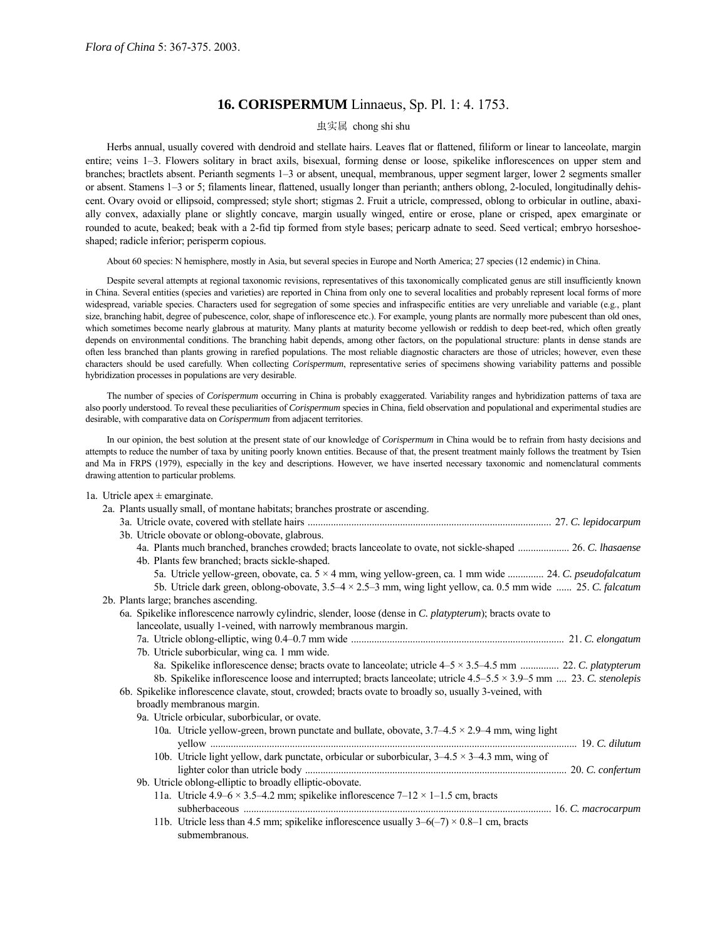## **16. CORISPERMUM** Linnaeus, Sp. Pl. 1: 4. 1753.

## 虫实属 chong shi shu

Herbs annual, usually covered with dendroid and stellate hairs. Leaves flat or flattened, filiform or linear to lanceolate, margin entire; veins 1–3. Flowers solitary in bract axils, bisexual, forming dense or loose, spikelike inflorescences on upper stem and branches; bractlets absent. Perianth segments 1-3 or absent, unequal, membranous, upper segment larger, lower 2 segments smaller or absent. Stamens 1–3 or 5; filaments linear, flattened, usually longer than perianth; anthers oblong, 2-loculed, longitudinally dehiscent. Ovary ovoid or ellipsoid, compressed; style short; stigmas 2. Fruit a utricle, compressed, oblong to orbicular in outline, abaxially convex, adaxially plane or slightly concave, margin usually winged, entire or erose, plane or crisped, apex emarginate or rounded to acute, beaked; beak with a 2-fid tip formed from style bases; pericarp adnate to seed. Seed vertical; embryo horseshoeshaped; radicle inferior; perisperm copious.

About 60 species: N hemisphere, mostly in Asia, but several species in Europe and North America; 27 species (12 endemic) in China.

Despite several attempts at regional taxonomic revisions, representatives of this taxonomically complicated genus are still insufficiently known in China. Several entities (species and varieties) are reported in China from only one to several localities and probably represent local forms of more widespread, variable species. Characters used for segregation of some species and infraspecific entities are very unreliable and variable (e.g., plant size, branching habit, degree of pubescence, color, shape of inflorescence etc.). For example, young plants are normally more pubescent than old ones, which sometimes become nearly glabrous at maturity. Many plants at maturity become yellowish or reddish to deep beet-red, which often greatly depends on environmental conditions. The branching habit depends, among other factors, on the populational structure: plants in dense stands are often less branched than plants growing in rarefied populations. The most reliable diagnostic characters are those of utricles; however, even these characters should be used carefully. When collecting *Corispermum*, representative series of specimens showing variability patterns and possible hybridization processes in populations are very desirable.

The number of species of *Corispermum* occurring in China is probably exaggerated. Variability ranges and hybridization patterns of taxa are also poorly understood. To reveal these peculiarities of *Corispermum* species in China, field observation and populational and experimental studies are desirable, with comparative data on *Corispermum* from adjacent territories.

In our opinion, the best solution at the present state of our knowledge of *Corispermum* in China would be to refrain from hasty decisions and attempts to reduce the number of taxa by uniting poorly known entities. Because of that, the present treatment mainly follows the treatment by Tsien and Ma in FRPS (1979), especially in the key and descriptions. However, we have inserted necessary taxonomic and nomenclatural comments drawing attention to particular problems.

#### 1a. Utricle apex  $\pm$  emarginate.

| 2a. Plants usually small, of montane habitats; branches prostrate or ascending.                                            |
|----------------------------------------------------------------------------------------------------------------------------|
|                                                                                                                            |
| 3b. Utricle obovate or oblong-obovate, glabrous.                                                                           |
| 4a. Plants much branched, branches crowded; bracts lanceolate to ovate, not sickle-shaped  26. C. lhasaense                |
| 4b. Plants few branched; bracts sickle-shaped.                                                                             |
| 5a. Utricle yellow-green, obovate, ca. 5 × 4 mm, wing yellow-green, ca. 1 mm wide  24. C. pseudofalcatum                   |
| 5b. Utricle dark green, oblong-obovate, $3.5-4 \times 2.5-3$ mm, wing light yellow, ca. 0.5 mm wide  25. C. falcatum       |
| 2b. Plants large; branches ascending.                                                                                      |
| 6a. Spikelike inflorescence narrowly cylindric, slender, loose (dense in C. platypterum); bracts ovate to                  |
| lanceolate, usually 1-veined, with narrowly membranous margin.                                                             |
|                                                                                                                            |
| 7b. Utricle suborbicular, wing ca. 1 mm wide.                                                                              |
| 8a. Spikelike inflorescence dense; bracts ovate to lanceolate; utricle $4-5 \times 3.5-4.5$ mm  22. C. platypterum         |
| 8b. Spikelike inflorescence loose and interrupted; bracts lanceolate; utricle $4.5-5.5 \times 3.9-5$ mm  23. C. stenolepis |
| 6b. Spikelike inflorescence clavate, stout, crowded; bracts ovate to broadly so, usually 3-veined, with                    |
| broadly membranous margin.                                                                                                 |
| 9a. Utricle orbicular, suborbicular, or ovate.                                                                             |
| 10a. Utricle yellow-green, brown punctate and bullate, obovate, $3.7-4.5 \times 2.9-4$ mm, wing light                      |
|                                                                                                                            |
| 10b. Utricle light yellow, dark punctate, orbicular or suborbicular, $3-4.5 \times 3-4.3$ mm, wing of                      |
|                                                                                                                            |
| 9b. Utricle oblong-elliptic to broadly elliptic-obovate.                                                                   |
| 11a. Utricle 4.9–6 × 3.5–4.2 mm; spikelike inflorescence $7-12 \times 1-1.5$ cm, bracts                                    |
|                                                                                                                            |
| 11b. Utricle less than 4.5 mm; spikelike inflorescence usually $3-6(-7) \times 0.8-1$ cm, bracts                           |
| submembranous.                                                                                                             |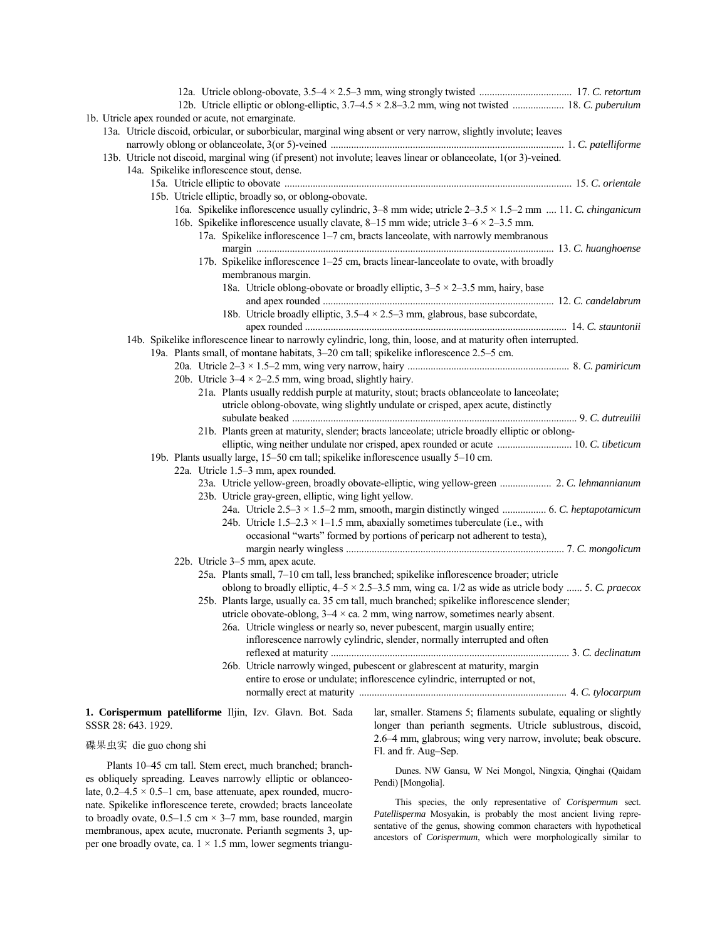| 12b. Utricle elliptic or oblong-elliptic, 3.7–4.5 × 2.8–3.2 mm, wing not twisted  18. C. puberulum                            |  |
|-------------------------------------------------------------------------------------------------------------------------------|--|
| 1b. Utricle apex rounded or acute, not emarginate.                                                                            |  |
| 13a. Utricle discoid, orbicular, or suborbicular, marginal wing absent or very narrow, slightly involute; leaves              |  |
|                                                                                                                               |  |
| 13b. Utricle not discoid, marginal wing (if present) not involute; leaves linear or oblanceolate, 1(or 3)-veined.             |  |
| 14a. Spikelike inflorescence stout, dense.                                                                                    |  |
|                                                                                                                               |  |
| 15b. Utricle elliptic, broadly so, or oblong-obovate.                                                                         |  |
| 16a. Spikelike inflorescence usually cylindric, $3-8$ mm wide; utricle $2-3.5 \times 1.5-2$ mm  11. C. chinganicum            |  |
| 16b. Spikelike inflorescence usually clavate, 8–15 mm wide; utricle $3-6 \times 2-3.5$ mm.                                    |  |
| 17a. Spikelike inflorescence 1–7 cm, bracts lanceolate, with narrowly membranous                                              |  |
|                                                                                                                               |  |
| 17b. Spikelike inflorescence 1–25 cm, bracts linear-lanceolate to ovate, with broadly                                         |  |
| membranous margin.                                                                                                            |  |
| 18a. Utricle oblong-obovate or broadly elliptic, $3-5 \times 2-3.5$ mm, hairy, base                                           |  |
|                                                                                                                               |  |
| 18b. Utricle broadly elliptic, $3.5-4 \times 2.5-3$ mm, glabrous, base subcordate,                                            |  |
|                                                                                                                               |  |
| 14b. Spikelike inflorescence linear to narrowly cylindric, long, thin, loose, and at maturity often interrupted.              |  |
| 19a. Plants small, of montane habitats, 3–20 cm tall; spikelike inflorescence 2.5–5 cm.                                       |  |
|                                                                                                                               |  |
| 20b. Utricle $3-4 \times 2-2.5$ mm, wing broad, slightly hairy.                                                               |  |
| 21a. Plants usually reddish purple at maturity, stout; bracts oblanceolate to lanceolate;                                     |  |
| utricle oblong-obovate, wing slightly undulate or crisped, apex acute, distinctly                                             |  |
|                                                                                                                               |  |
| 21b. Plants green at maturity, slender; bracts lanceolate; utricle broadly elliptic or oblong-                                |  |
| elliptic, wing neither undulate nor crisped, apex rounded or acute  10. C. tibeticum                                          |  |
| 19b. Plants usually large, 15-50 cm tall; spikelike inflorescence usually 5-10 cm.                                            |  |
| 22a. Utricle 1.5–3 mm, apex rounded.                                                                                          |  |
| 23a. Utricle yellow-green, broadly obovate-elliptic, wing yellow-green  2. C. lehmannianum                                    |  |
| 23b. Utricle gray-green, elliptic, wing light yellow.                                                                         |  |
| 24a. Utricle 2.5–3 × 1.5–2 mm, smooth, margin distinctly winged  6. C. heptapotamicum                                         |  |
| 24b. Utricle $1.5-2.3 \times 1-1.5$ mm, abaxially sometimes tuberculate (i.e., with                                           |  |
| occasional "warts" formed by portions of pericarp not adherent to testa),                                                     |  |
|                                                                                                                               |  |
| 22b. Utricle 3–5 mm, apex acute.                                                                                              |  |
| 25a. Plants small, 7-10 cm tall, less branched; spikelike inflorescence broader; utricle                                      |  |
| oblong to broadly elliptic, $4-5 \times 2.5-3.5$ mm, wing ca. 1/2 as wide as utricle body  5. C. praecox                      |  |
| 25b. Plants large, usually ca. 35 cm tall, much branched; spikelike inflorescence slender;                                    |  |
| utricle obovate-oblong, $3-4 \times$ ca. 2 mm, wing narrow, sometimes nearly absent.                                          |  |
| 26a. Utricle wingless or nearly so, never pubescent, margin usually entire;                                                   |  |
| inflorescence narrowly cylindric, slender, normally interrupted and often                                                     |  |
|                                                                                                                               |  |
| 26b. Utricle narrowly winged, pubescent or glabrescent at maturity, margin                                                    |  |
| entire to erose or undulate; inflorescence cylindric, interrupted or not,                                                     |  |
|                                                                                                                               |  |
|                                                                                                                               |  |
| lar, smaller. Stamens 5; filaments subulate, equaling or slightly<br>1. Corispermum patelliforme Iljin, Izv. Glavn. Bot. Sada |  |

# SSSR 28: 643. 1929.

## 碟果虫实 die guo chong shi

Plants 10-45 cm tall. Stem erect, much branched; branches obliquely spreading. Leaves narrowly elliptic or oblanceolate,  $0.2-4.5 \times 0.5-1$  cm, base attenuate, apex rounded, mucronate. Spikelike inflorescence terete, crowded; bracts lanceolate to broadly ovate,  $0.5-1.5$  cm  $\times$  3-7 mm, base rounded, margin membranous, apex acute, mucronate. Perianth segments 3, upper one broadly ovate, ca.  $1 \times 1.5$  mm, lower segments triangu-

lar, smaller. Stamens 5; filaments subulate, equaling or slightly longer than perianth segments. Utricle sublustrous, discoid, 2.6<sup> $-4$ </sup> mm, glabrous; wing very narrow, involute; beak obscure. Fl. and fr. Aug-Sep.

Dunes. NW Gansu, W Nei Mongol, Ningxia, Qinghai (Qaidam Pendi) [Mongolia].

This species, the only representative of *Corispermum* sect. *Patellisperma* Mosyakin, is probably the most ancient living representative of the genus, showing common characters with hypothetical ancestors of *Corispermum*, which were morphologically similar to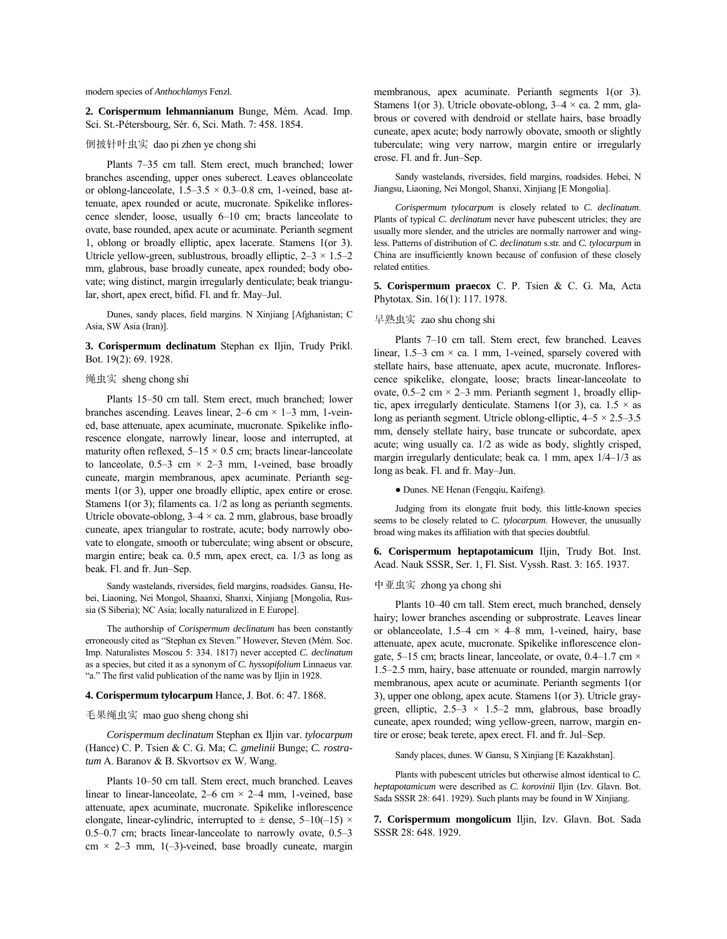modern species of *Anthochlamys* Fenzl.

**2. Corispermum lehmannianum** Bunge, MÈm. Acad. Imp. Sci. St.-Pétersbourg, Sér. 6, Sci. Math. 7: 458. 1854.

## 倒披针叶虫实 dao pi zhen ye chong shi

Plants 7–35 cm tall. Stem erect, much branched; lower branches ascending, upper ones suberect. Leaves oblanceolate or oblong-lanceolate,  $1.5-3.5 \times 0.3-0.8$  cm, 1-veined, base attenuate, apex rounded or acute, mucronate. Spikelike inflorescence slender, loose, usually  $6-10$  cm; bracts lanceolate to ovate, base rounded, apex acute or acuminate. Perianth segment 1, oblong or broadly elliptic, apex lacerate. Stamens 1(or 3). Utricle yellow-green, sublustrous, broadly elliptic,  $2-3 \times 1.5-2$ mm, glabrous, base broadly cuneate, apex rounded; body obovate; wing distinct, margin irregularly denticulate; beak triangular, short, apex erect, bifid. Fl. and fr. May-Jul.

Dunes, sandy places, field margins. N Xinjiang [Afghanistan; C Asia, SW Asia (Iran)].

**3. Corispermum declinatum** Stephan ex Iljin, Trudy Prikl. Bot. 19(2): 69. 1928.

## 绳虫实 sheng chong shi

Plants 15–50 cm tall. Stem erect, much branched; lower branches ascending. Leaves linear,  $2-6$  cm  $\times$  1–3 mm, 1-veined, base attenuate, apex acuminate, mucronate. Spikelike inflorescence elongate, narrowly linear, loose and interrupted, at maturity often reflexed,  $5-15 \times 0.5$  cm; bracts linear-lanceolate to lanceolate,  $0.5-3$  cm  $\times$  2-3 mm, 1-veined, base broadly cuneate, margin membranous, apex acuminate. Perianth segments 1(or 3), upper one broadly elliptic, apex entire or erose. Stamens 1(or 3); filaments ca. 1/2 as long as perianth segments. Utricle obovate-oblong,  $3-4 \times$  ca. 2 mm, glabrous, base broadly cuneate, apex triangular to rostrate, acute; body narrowly obovate to elongate, smooth or tuberculate; wing absent or obscure, margin entire; beak ca. 0.5 mm, apex erect, ca. 1/3 as long as beak. Fl. and fr. Jun-Sep.

Sandy wastelands, riversides, field margins, roadsides. Gansu, Hebei, Liaoning, Nei Mongol, Shaanxi, Shanxi, Xinjiang [Mongolia, Russia (S Siberia); NC Asia; locally naturalized in E Europe].

The authorship of *Corispermum declinatum* has been constantly erroneously cited as "Stephan ex Steven." However, Steven (Mém. Soc. Imp. Naturalistes Moscou 5: 334. 1817) never accepted *C. declinatum* as a species, but cited it as a synonym of *C. hyssopifolium* Linnaeus var. ìa.î The first valid publication of the name was by Iljin in 1928.

#### **4. Corispermum tylocarpum** Hance, J. Bot. 6: 47. 1868.

#### 毛果绳虫实 mao guo sheng chong shi

*Corispermum declinatum* Stephan ex Iljin var. *tylocarpum* (Hance) C. P. Tsien & C. G. Ma; *C. gmelinii* Bunge; *C. rostratum* A. Baranov & B. Skvortsov ex W. Wang.

Plants 10-50 cm tall. Stem erect, much branched. Leaves linear to linear-lanceolate,  $2-6$  cm  $\times$  2-4 mm, 1-veined, base attenuate, apex acuminate, mucronate. Spikelike inflorescence elongate, linear-cylindric, interrupted to  $\pm$  dense, 5–10(–15)  $\times$  $0.5-0.7$  cm; bracts linear-lanceolate to narrowly ovate,  $0.5-3$ cm  $\times$  2–3 mm, 1(–3)-veined, base broadly cuneate, margin membranous, apex acuminate. Perianth segments 1(or 3). Stamens 1(or 3). Utricle obovate-oblong,  $3-4 \times$  ca. 2 mm, glabrous or covered with dendroid or stellate hairs, base broadly cuneate, apex acute; body narrowly obovate, smooth or slightly tuberculate; wing very narrow, margin entire or irregularly erose. Fl. and fr. Jun-Sep.

Sandy wastelands, riversides, field margins, roadsides. Hebei, N Jiangsu, Liaoning, Nei Mongol, Shanxi, Xinjiang [E Mongolia].

*Corispermum tylocarpum* is closely related to *C. declinatum*. Plants of typical *C. declinatum* never have pubescent utricles; they are usually more slender, and the utricles are normally narrower and wingless. Patterns of distribution of *C. declinatum* s.str. and *C. tylocarpum* in China are insufficiently known because of confusion of these closely related entities.

**5. Corispermum praecox** C. P. Tsien & C. G. Ma, Acta Phytotax. Sin. 16(1): 117. 1978.

## 早熟虫实 zao shu chong shi

Plants 7-10 cm tall. Stem erect, few branched. Leaves linear,  $1.5-3$  cm  $\times$  ca. 1 mm, 1-veined, sparsely covered with stellate hairs, base attenuate, apex acute, mucronate. Inflorescence spikelike, elongate, loose; bracts linear-lanceolate to ovate,  $0.5-2$  cm  $\times$  2-3 mm. Perianth segment 1, broadly elliptic, apex irregularly denticulate. Stamens 1(or 3), ca.  $1.5 \times$  as long as perianth segment. Utricle oblong-elliptic,  $4-5 \times 2.5-3.5$ mm, densely stellate hairy, base truncate or subcordate, apex acute; wing usually ca. 1/2 as wide as body, slightly crisped, margin irregularly denticulate; beak ca. 1 mm, apex  $1/4-1/3$  as long as beak. Fl. and fr. May-Jun.

● Dunes. NE Henan (Fengqiu, Kaifeng).

Judging from its elongate fruit body, this little-known species seems to be closely related to *C. tylocarpum*. However, the unusually broad wing makes its affiliation with that species doubtful.

**6. Corispermum heptapotamicum** Iljin, Trudy Bot. Inst. Acad. Nauk SSSR, Ser. 1, Fl. Sist. Vyssh. Rast. 3: 165. 1937.

## 中亚虫实 zhong ya chong shi

Plants 10-40 cm tall. Stem erect, much branched, densely hairy; lower branches ascending or subprostrate. Leaves linear or oblanceolate, 1.5-4 cm  $\times$  4-8 mm, 1-veined, hairy, base attenuate, apex acute, mucronate. Spikelike inflorescence elongate, 5–15 cm; bracts linear, lanceolate, or ovate, 0.4–1.7 cm  $\times$  $1.5-2.5$  mm, hairy, base attenuate or rounded, margin narrowly membranous, apex acute or acuminate. Perianth segments 1(or 3), upper one oblong, apex acute. Stamens 1(or 3). Utricle graygreen, elliptic,  $2.5-3 \times 1.5-2$  mm, glabrous, base broadly cuneate, apex rounded; wing yellow-green, narrow, margin entire or erose; beak terete, apex erect. Fl. and fr. Jul–Sep.

Sandy places, dunes. W Gansu, S Xinjiang [E Kazakhstan].

Plants with pubescent utricles but otherwise almost identical to *C. heptapotamicum* were described as *C. korovinii* Iljin (Izv. Glavn. Bot. Sada SSSR 28: 641. 1929). Such plants may be found in W Xinjiang.

**7. Corispermum mongolicum** Iljin, Izv. Glavn. Bot. Sada SSSR 28: 648. 1929.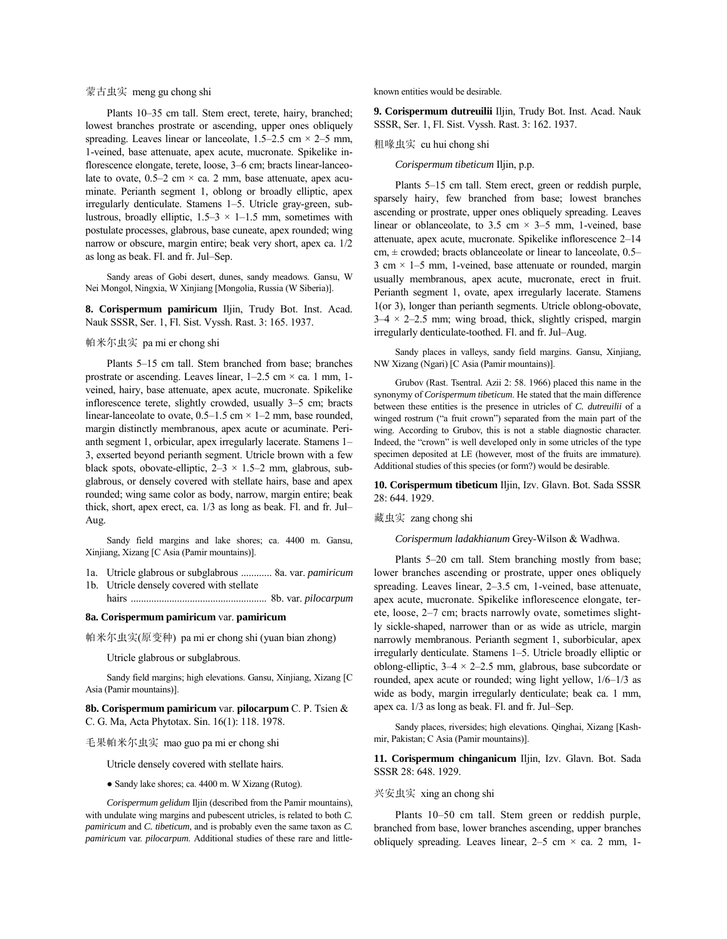## 蒙古虫实 meng gu chong shi

Plants 10-35 cm tall. Stem erect, terete, hairy, branched; lowest branches prostrate or ascending, upper ones obliquely spreading. Leaves linear or lanceolate,  $1.5-2.5$  cm  $\times$  2-5 mm, 1-veined, base attenuate, apex acute, mucronate. Spikelike inflorescence elongate, terete, loose, 3–6 cm; bracts linear-lanceolate to ovate,  $0.5-2$  cm  $\times$  ca. 2 mm, base attenuate, apex acuminate. Perianth segment 1, oblong or broadly elliptic, apex irregularly denticulate. Stamens 1–5. Utricle gray-green, sublustrous, broadly elliptic,  $1.5-3 \times 1-1.5$  mm, sometimes with postulate processes, glabrous, base cuneate, apex rounded; wing narrow or obscure, margin entire; beak very short, apex ca. 1/2 as long as beak. Fl. and fr. Jul–Sep.

Sandy areas of Gobi desert, dunes, sandy meadows. Gansu, W Nei Mongol, Ningxia, W Xinjiang [Mongolia, Russia (W Siberia)].

**8. Corispermum pamiricum** Iljin, Trudy Bot. Inst. Acad. Nauk SSSR, Ser. 1, Fl. Sist. Vyssh. Rast. 3: 165. 1937.

#### 帕米尔虫实 pa mi er chong shi

Plants 5–15 cm tall. Stem branched from base; branches prostrate or ascending. Leaves linear,  $1-2.5$  cm  $\times$  ca. 1 mm, 1veined, hairy, base attenuate, apex acute, mucronate. Spikelike inflorescence terete, slightly crowded, usually 3-5 cm; bracts linear-lanceolate to ovate,  $0.5-1.5$  cm  $\times$  1-2 mm, base rounded, margin distinctly membranous, apex acute or acuminate. Perianth segment 1, orbicular, apex irregularly lacerate. Stamens 1-3, exserted beyond perianth segment. Utricle brown with a few black spots, obovate-elliptic,  $2-3 \times 1.5-2$  mm, glabrous, subglabrous, or densely covered with stellate hairs, base and apex rounded; wing same color as body, narrow, margin entire; beak thick, short, apex erect, ca.  $1/3$  as long as beak. Fl. and fr. Jul– Aug.

Sandy field margins and lake shores; ca. 4400 m. Gansu, Xinjiang, Xizang [C Asia (Pamir mountains)].

- 1a. Utricle glabrous or subglabrous ............ 8a. var. *pamiricum* 1b. Utricle densely covered with stellate
- hairs ..................................................... 8b. var. *pilocarpum*

#### **8a. Corispermum pamiricum** var. **pamiricum**

帕米尔虫实(原变种) pa mi er chong shi (yuan bian zhong)

Utricle glabrous or subglabrous.

Sandy field margins; high elevations. Gansu, Xinjiang, Xizang [C Asia (Pamir mountains)].

**8b. Corispermum pamiricum** var. **pilocarpum** C. P. Tsien & C. G. Ma, Acta Phytotax. Sin. 16(1): 118. 1978.

## 毛果帕米尔虫实 mao guo pa mi er chong shi

Utricle densely covered with stellate hairs.

● Sandy lake shores; ca. 4400 m. W Xizang (Rutog).

*Corispermum gelidum* Iljin (described from the Pamir mountains), with undulate wing margins and pubescent utricles, is related to both *C. pamiricum* and *C. tibeticum*, and is probably even the same taxon as *C. pamiricum* var. *pilocarpum*. Additional studies of these rare and littleknown entities would be desirable.

**9. Corispermum dutreuilii** Iljin, Trudy Bot. Inst. Acad. Nauk SSSR, Ser. 1, Fl. Sist. Vyssh. Rast. 3: 162. 1937.

粗喙虫实 cu hui chong shi

*Corispermum tibeticum* Iljin, p.p.

Plants 5–15 cm tall. Stem erect, green or reddish purple, sparsely hairy, few branched from base; lowest branches ascending or prostrate, upper ones obliquely spreading. Leaves linear or oblanceolate, to 3.5 cm  $\times$  3–5 mm, 1-veined, base attenuate, apex acute, mucronate. Spikelike inflorescence 2–14 cm,  $\pm$  crowded; bracts oblanceolate or linear to lanceolate, 0.5– 3 cm  $\times$  1–5 mm, 1-veined, base attenuate or rounded, margin usually membranous, apex acute, mucronate, erect in fruit. Perianth segment 1, ovate, apex irregularly lacerate. Stamens 1(or 3), longer than perianth segments. Utricle oblong-obovate,  $3-4 \times 2-2.5$  mm; wing broad, thick, slightly crisped, margin irregularly denticulate-toothed. Fl. and fr. Jul-Aug.

Sandy places in valleys, sandy field margins. Gansu, Xinjiang, NW Xizang (Ngari) [C Asia (Pamir mountains)].

Grubov (Rast. Tsentral. Azii 2: 58. 1966) placed this name in the synonymy of *Corispermum tibeticum*. He stated that the main difference between these entities is the presence in utricles of *C. dutreuilii* of a winged rostrum ("a fruit crown") separated from the main part of the wing. According to Grubov, this is not a stable diagnostic character. Indeed, the "crown" is well developed only in some utricles of the type specimen deposited at LE (however, most of the fruits are immature). Additional studies of this species (or form?) would be desirable.

**10. Corispermum tibeticum** Iljin, Izv. Glavn. Bot. Sada SSSR 28: 644. 1929.

## 藏虫实 zang chong shi

*Corispermum ladakhianum* Grey-Wilson & Wadhwa.

Plants 5–20 cm tall. Stem branching mostly from base; lower branches ascending or prostrate, upper ones obliquely spreading. Leaves linear,  $2-3.5$  cm, 1-veined, base attenuate, apex acute, mucronate. Spikelike inflorescence elongate, terete, loose, 2–7 cm; bracts narrowly ovate, sometimes slightly sickle-shaped, narrower than or as wide as utricle, margin narrowly membranous. Perianth segment 1, suborbicular, apex irregularly denticulate. Stamens 1-5. Utricle broadly elliptic or oblong-elliptic,  $3-4 \times 2-2.5$  mm, glabrous, base subcordate or rounded, apex acute or rounded; wing light yellow,  $1/6-1/3$  as wide as body, margin irregularly denticulate; beak ca. 1 mm, apex ca.  $1/3$  as long as beak. Fl. and fr. Jul–Sep.

Sandy places, riversides; high elevations. Qinghai, Xizang [Kashmir, Pakistan; C Asia (Pamir mountains)].

**11. Corispermum chinganicum** Iljin, Izv. Glavn. Bot. Sada SSSR 28: 648. 1929.

#### 兴安虫实 xing an chong shi

Plants 10-50 cm tall. Stem green or reddish purple, branched from base, lower branches ascending, upper branches obliquely spreading. Leaves linear,  $2-5$  cm  $\times$  ca. 2 mm, 1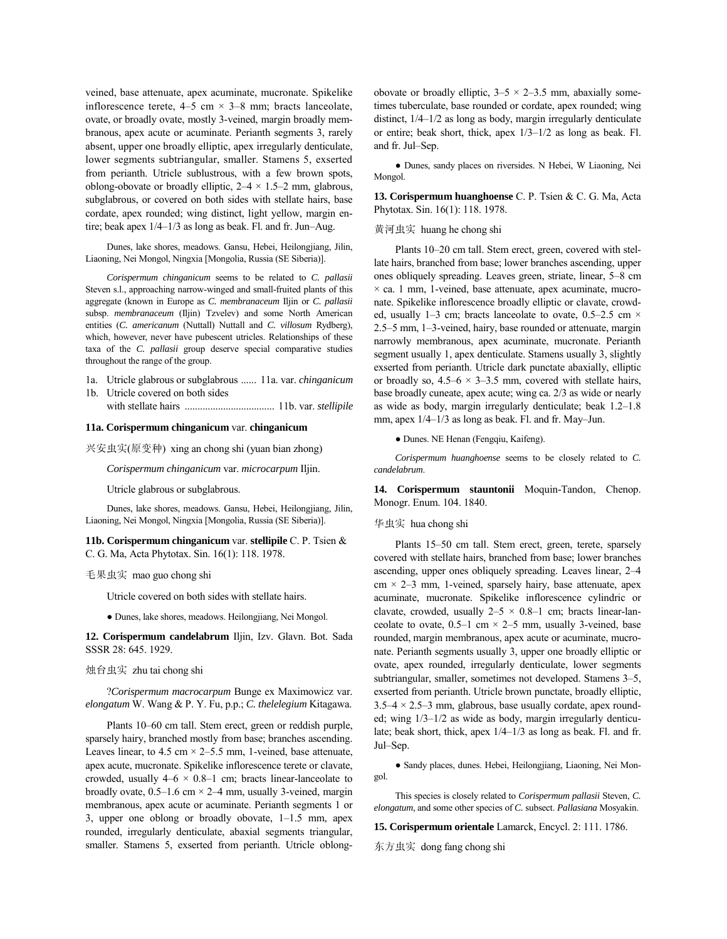veined, base attenuate, apex acuminate, mucronate. Spikelike inflorescence terete,  $4-5$  cm  $\times$  3 $-8$  mm; bracts lanceolate, ovate, or broadly ovate, mostly 3-veined, margin broadly membranous, apex acute or acuminate. Perianth segments 3, rarely absent, upper one broadly elliptic, apex irregularly denticulate, lower segments subtriangular, smaller. Stamens 5, exserted from perianth. Utricle sublustrous, with a few brown spots, oblong-obovate or broadly elliptic,  $2-4 \times 1.5-2$  mm, glabrous, subglabrous, or covered on both sides with stellate hairs, base cordate, apex rounded; wing distinct, light yellow, margin entire; beak apex  $1/4-1/3$  as long as beak. Fl. and fr. Jun-Aug.

Dunes, lake shores, meadows. Gansu, Hebei, Heilongjiang, Jilin, Liaoning, Nei Mongol, Ningxia [Mongolia, Russia (SE Siberia)].

*Corispermum chinganicum* seems to be related to *C. pallasii* Steven s.l., approaching narrow-winged and small-fruited plants of this aggregate (known in Europe as *C. membranaceum* Iljin or *C. pallasii* subsp. *membranaceum* (Iljin) Tzvelev) and some North American entities (*C. americanum* (Nuttall) Nuttall and *C. villosum* Rydberg), which, however, never have pubescent utricles. Relationships of these taxa of the *C. pallasii* group deserve special comparative studies throughout the range of the group.

1a. Utricle glabrous or subglabrous ...... 11a. var. *chinganicum* 1b. Utricle covered on both sides

with stellate hairs ................................... 11b. var. *stellipile*

#### **11a. Corispermum chinganicum** var. **chinganicum**

兴安虫实(原变种) xing an chong shi (yuan bian zhong)

*Corispermum chinganicum* var. *microcarpum* Iljin.

Utricle glabrous or subglabrous.

Dunes, lake shores, meadows. Gansu, Hebei, Heilongjiang, Jilin, Liaoning, Nei Mongol, Ningxia [Mongolia, Russia (SE Siberia)].

**11b. Corispermum chinganicum** var. **stellipile** C. P. Tsien & C. G. Ma, Acta Phytotax. Sin. 16(1): 118. 1978.

#### 毛果虫实 mao guo chong shi

Utricle covered on both sides with stellate hairs.

● Dunes, lake shores, meadows. Heilongjiang, Nei Mongol.

**12. Corispermum candelabrum** Iljin, Izv. Glavn. Bot. Sada SSSR 28: 645. 1929.

## 烛台虫实 zhu tai chong shi

?*Corispermum macrocarpum* Bunge ex Maximowicz var. *elongatum* W. Wang & P. Y. Fu, p.p.; *C. thelelegium* Kitagawa.

Plants 10–60 cm tall. Stem erect, green or reddish purple, sparsely hairy, branched mostly from base; branches ascending. Leaves linear, to 4.5 cm  $\times$  2–5.5 mm, 1-veined, base attenuate, apex acute, mucronate. Spikelike inflorescence terete or clavate, crowded, usually  $4-6 \times 0.8-1$  cm; bracts linear-lanceolate to broadly ovate,  $0.5-1.6$  cm  $\times$  2–4 mm, usually 3-veined, margin membranous, apex acute or acuminate. Perianth segments 1 or 3, upper one oblong or broadly obovate,  $1-1.5$  mm, apex rounded, irregularly denticulate, abaxial segments triangular, smaller. Stamens 5, exserted from perianth. Utricle oblongobovate or broadly elliptic,  $3-5 \times 2-3.5$  mm, abaxially sometimes tuberculate, base rounded or cordate, apex rounded; wing distinct,  $1/4-1/2$  as long as body, margin irregularly denticulate or entire; beak short, thick, apex  $1/3-1/2$  as long as beak. Fl. and fr. Jul-Sep.

● Dunes, sandy places on riversides. N Hebei, W Liaoning, Nei Mongol.

**13. Corispermum huanghoense** C. P. Tsien & C. G. Ma, Acta Phytotax. Sin. 16(1): 118. 1978.

## 黄河虫实 huang he chong shi

Plants 10–20 cm tall. Stem erect, green, covered with stellate hairs, branched from base; lower branches ascending, upper ones obliquely spreading. Leaves green, striate, linear, 5–8 cm  $\times$  ca. 1 mm, 1-veined, base attenuate, apex acuminate, mucronate. Spikelike inflorescence broadly elliptic or clavate, crowded, usually 1–3 cm; bracts lanceolate to ovate, 0.5–2.5 cm  $\times$  $2.5-5$  mm, 1–3-veined, hairy, base rounded or attenuate, margin narrowly membranous, apex acuminate, mucronate. Perianth segment usually 1, apex denticulate. Stamens usually 3, slightly exserted from perianth. Utricle dark punctate abaxially, elliptic or broadly so,  $4.5-6 \times 3-3.5$  mm, covered with stellate hairs, base broadly cuneate, apex acute; wing ca. 2/3 as wide or nearly as wide as body, margin irregularly denticulate; beak  $1.2-1.8$ mm, apex  $1/4-1/3$  as long as beak. Fl. and fr. May-Jun.

● Dunes. NE Henan (Fengqiu, Kaifeng).

*Corispermum huanghoense* seems to be closely related to *C. candelabrum*.

**14. Corispermum stauntonii** Moquin-Tandon, Chenop. Monogr. Enum. 104. 1840.

#### 华虫实 hua chong shi

Plants 15–50 cm tall. Stem erect, green, terete, sparsely covered with stellate hairs, branched from base; lower branches ascending, upper ones obliquely spreading. Leaves linear, 2-4  $cm \times 2-3$  mm, 1-veined, sparsely hairy, base attenuate, apex acuminate, mucronate. Spikelike inflorescence cylindric or clavate, crowded, usually  $2-5 \times 0.8-1$  cm; bracts linear-lanceolate to ovate,  $0.5-1$  cm  $\times$  2-5 mm, usually 3-veined, base rounded, margin membranous, apex acute or acuminate, mucronate. Perianth segments usually 3, upper one broadly elliptic or ovate, apex rounded, irregularly denticulate, lower segments subtriangular, smaller, sometimes not developed. Stamens 3-5, exserted from perianth. Utricle brown punctate, broadly elliptic,  $3.5-4 \times 2.5-3$  mm, glabrous, base usually cordate, apex rounded; wing  $1/3-1/2$  as wide as body, margin irregularly denticulate; beak short, thick, apex  $1/4-1/3$  as long as beak. Fl. and fr. Jul-Sep.

● Sandy places, dunes. Hebei, Heilongjiang, Liaoning, Nei Mongol.

This species is closely related to *Corispermum pallasii* Steven, *C. elongatum*, and some other species of *C.* subsect. *Pallasiana* Mosyakin.

**15. Corispermum orientale** Lamarck, Encycl. 2: 111. 1786.

东方虫实 dong fang chong shi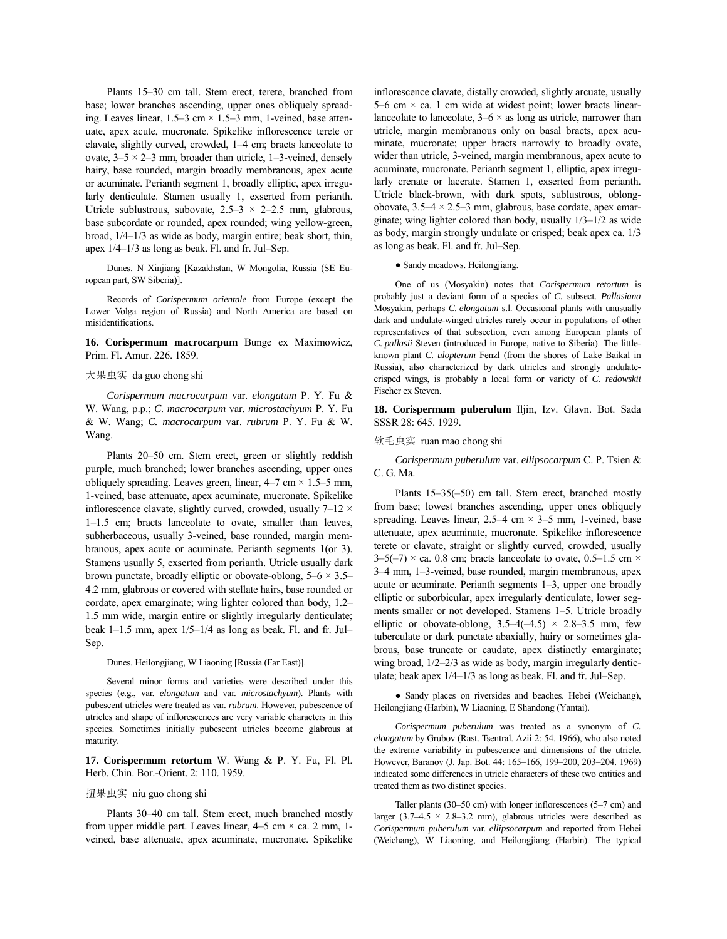Plants 15-30 cm tall. Stem erect, terete, branched from base; lower branches ascending, upper ones obliquely spreading. Leaves linear,  $1.5-3$  cm  $\times$   $1.5-3$  mm, 1-veined, base attenuate, apex acute, mucronate. Spikelike inflorescence terete or clavate, slightly curved, crowded,  $1-4$  cm; bracts lanceolate to ovate,  $3-5 \times 2-3$  mm, broader than utricle, 1-3-veined, densely hairy, base rounded, margin broadly membranous, apex acute or acuminate. Perianth segment 1, broadly elliptic, apex irregularly denticulate. Stamen usually 1, exserted from perianth. Utricle sublustrous, subovate,  $2.5-3 \times 2-2.5$  mm, glabrous, base subcordate or rounded, apex rounded; wing yellow-green, broad,  $1/4-1/3$  as wide as body, margin entire; beak short, thin, apex  $1/4-1/3$  as long as beak. Fl. and fr. Jul–Sep.

Dunes. N Xinjiang [Kazakhstan, W Mongolia, Russia (SE European part, SW Siberia)].

Records of *Corispermum orientale* from Europe (except the Lower Volga region of Russia) and North America are based on misidentifications.

**16. Corispermum macrocarpum** Bunge ex Maximowicz, Prim. Fl. Amur. 226. 1859.

#### 大果虫实 da guo chong shi

*Corispermum macrocarpum* var. *elongatum* P. Y. Fu & W. Wang, p.p.; *C. macrocarpum* var. *microstachyum* P. Y. Fu & W. Wang; *C. macrocarpum* var. *rubrum* P. Y. Fu & W. Wang.

Plants 20-50 cm. Stem erect, green or slightly reddish purple, much branched; lower branches ascending, upper ones obliquely spreading. Leaves green, linear,  $4-7$  cm  $\times$  1.5–5 mm, 1-veined, base attenuate, apex acuminate, mucronate. Spikelike inflorescence clavate, slightly curved, crowded, usually  $7-12 \times$  $1-1.5$  cm; bracts lanceolate to ovate, smaller than leaves, subherbaceous, usually 3-veined, base rounded, margin membranous, apex acute or acuminate. Perianth segments 1(or 3). Stamens usually 5, exserted from perianth. Utricle usually dark brown punctate, broadly elliptic or obovate-oblong,  $5-6 \times 3.5$ 4.2 mm, glabrous or covered with stellate hairs, base rounded or cordate, apex emarginate; wing lighter colored than body, 1.2– 1.5 mm wide, margin entire or slightly irregularly denticulate; beak  $1-1.5$  mm, apex  $1/5-1/4$  as long as beak. Fl. and fr. Jul– Sep.

#### Dunes. Heilongjiang, W Liaoning [Russia (Far East)].

Several minor forms and varieties were described under this species (e.g., var. *elongatum* and var. *microstachyum*). Plants with pubescent utricles were treated as var. *rubrum*. However, pubescence of utricles and shape of inflorescences are very variable characters in this species. Sometimes initially pubescent utricles become glabrous at maturity.

**17. Corispermum retortum** W. Wang & P. Y. Fu, Fl. Pl. Herb. Chin. Bor.-Orient. 2: 110. 1959.

#### 扭果虫实 niu guo chong shi

Plants 30-40 cm tall. Stem erect, much branched mostly from upper middle part. Leaves linear,  $4-5$  cm  $\times$  ca. 2 mm, 1veined, base attenuate, apex acuminate, mucronate. Spikelike inflorescence clavate, distally crowded, slightly arcuate, usually 5–6 cm  $\times$  ca. 1 cm wide at widest point; lower bracts linearlanceolate to lanceolate,  $3-6 \times$  as long as utricle, narrower than utricle, margin membranous only on basal bracts, apex acuminate, mucronate; upper bracts narrowly to broadly ovate, wider than utricle, 3-veined, margin membranous, apex acute to acuminate, mucronate. Perianth segment 1, elliptic, apex irregularly crenate or lacerate. Stamen 1, exserted from perianth. Utricle black-brown, with dark spots, sublustrous, oblongobovate,  $3.5-4 \times 2.5-3$  mm, glabrous, base cordate, apex emarginate; wing lighter colored than body, usually  $1/3-1/2$  as wide as body, margin strongly undulate or crisped; beak apex ca. 1/3 as long as beak. Fl. and fr. Jul-Sep.

#### ● Sandy meadows. Heilongjiang.

One of us (Mosyakin) notes that *Corispermum retortum* is probably just a deviant form of a species of *C.* subsect. *Pallasiana* Mosyakin, perhaps *C. elongatum* s.l. Occasional plants with unusually dark and undulate-winged utricles rarely occur in populations of other representatives of that subsection, even among European plants of *C. pallasii* Steven (introduced in Europe, native to Siberia). The littleknown plant *C. ulopterum* Fenzl (from the shores of Lake Baikal in Russia), also characterized by dark utricles and strongly undulatecrisped wings, is probably a local form or variety of *C. redowskii* Fischer ex Steven.

**18. Corispermum puberulum** Iljin, Izv. Glavn. Bot. Sada SSSR 28: 645. 1929.

#### 软毛虫实 ruan mao chong shi

*Corispermum puberulum* var. *ellipsocarpum* C. P. Tsien & C. G. Ma.

Plants  $15-35(-50)$  cm tall. Stem erect, branched mostly from base; lowest branches ascending, upper ones obliquely spreading. Leaves linear,  $2.5-4$  cm  $\times$  3-5 mm, 1-veined, base attenuate, apex acuminate, mucronate. Spikelike inflorescence terete or clavate, straight or slightly curved, crowded, usually  $3-5(-7) \times$  ca. 0.8 cm; bracts lanceolate to ovate, 0.5–1.5 cm  $\times$ 3<sup>-4</sup> mm, 1<sup>-3</sup>-veined, base rounded, margin membranous, apex acute or acuminate. Perianth segments  $1-3$ , upper one broadly elliptic or suborbicular, apex irregularly denticulate, lower segments smaller or not developed. Stamens 1–5. Utricle broadly elliptic or obovate-oblong,  $3.5-4(-4.5) \times 2.8-3.5$  mm, few tuberculate or dark punctate abaxially, hairy or sometimes glabrous, base truncate or caudate, apex distinctly emarginate; wing broad,  $1/2-2/3$  as wide as body, margin irregularly denticulate; beak apex  $1/4-1/3$  as long as beak. Fl. and fr. Jul–Sep.

• Sandy places on riversides and beaches. Hebei (Weichang), Heilongjiang (Harbin), W Liaoning, E Shandong (Yantai).

*Corispermum puberulum* was treated as a synonym of *C. elongatum* by Grubov (Rast. Tsentral. Azii 2: 54. 1966), who also noted the extreme variability in pubescence and dimensions of the utricle. However, Baranov (J. Jap. Bot. 44: 165-166, 199-200, 203-204. 1969) indicated some differences in utricle characters of these two entities and treated them as two distinct species.

Taller plants (30–50 cm) with longer inflorescences (5–7 cm) and larger (3.7-4.5  $\times$  2.8-3.2 mm), glabrous utricles were described as *Corispermum puberulum* var. *ellipsocarpum* and reported from Hebei (Weichang), W Liaoning, and Heilongjiang (Harbin). The typical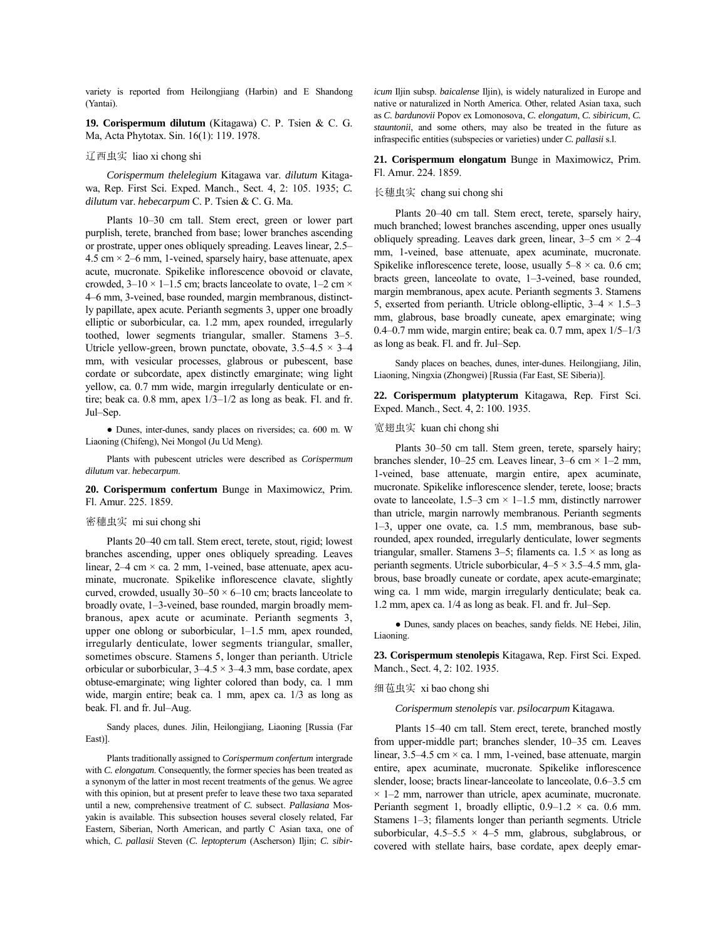variety is reported from Heilongjiang (Harbin) and E Shandong (Yantai).

**19. Corispermum dilutum** (Kitagawa) C. P. Tsien & C. G. Ma, Acta Phytotax. Sin. 16(1): 119. 1978.

## 辽西虫实 liao xi chong shi

*Corispermum thelelegium* Kitagawa var. *dilutum* Kitagawa, Rep. First Sci. Exped. Manch., Sect. 4, 2: 105. 1935; *C. dilutum* var. *hebecarpum* C. P. Tsien & C. G. Ma.

Plants 10-30 cm tall. Stem erect, green or lower part purplish, terete, branched from base; lower branches ascending or prostrate, upper ones obliquely spreading. Leaves linear, 2.5– 4.5 cm  $\times$  2–6 mm, 1-veined, sparsely hairy, base attenuate, apex acute, mucronate. Spikelike inflorescence obovoid or clavate, crowded,  $3-10 \times 1-1.5$  cm; bracts lanceolate to ovate,  $1-2$  cm  $\times$ 4–6 mm, 3-veined, base rounded, margin membranous, distinctly papillate, apex acute. Perianth segments 3, upper one broadly elliptic or suborbicular, ca. 1.2 mm, apex rounded, irregularly toothed, lower segments triangular, smaller. Stamens  $3-5$ . Utricle yellow-green, brown punctate, obovate,  $3.5-4.5 \times 3-4$ mm, with vesicular processes, glabrous or pubescent, base cordate or subcordate, apex distinctly emarginate; wing light yellow, ca. 0.7 mm wide, margin irregularly denticulate or entire; beak ca. 0.8 mm, apex  $1/3-1/2$  as long as beak. Fl. and fr. Jul–Sep.

● Dunes, inter-dunes, sandy places on riversides; ca. 600 m. W Liaoning (Chifeng), Nei Mongol (Ju Ud Meng).

Plants with pubescent utricles were described as *Corispermum dilutum* var. *hebecarpum*.

## **20. Corispermum confertum** Bunge in Maximowicz, Prim. Fl. Amur. 225. 1859.

#### 密穗虫实 mi sui chong shi

Plants 20-40 cm tall. Stem erect, terete, stout, rigid; lowest branches ascending, upper ones obliquely spreading. Leaves linear,  $2-4$  cm  $\times$  ca. 2 mm, 1-veined, base attenuate, apex acuminate, mucronate. Spikelike inflorescence clavate, slightly curved, crowded, usually  $30-50 \times 6$ -10 cm; bracts lanceolate to broadly ovate, 1-3-veined, base rounded, margin broadly membranous, apex acute or acuminate. Perianth segments 3, upper one oblong or suborbicular,  $1-1.5$  mm, apex rounded, irregularly denticulate, lower segments triangular, smaller, sometimes obscure. Stamens 5, longer than perianth. Utricle orbicular or suborbicular,  $3-4.5 \times 3-4.3$  mm, base cordate, apex obtuse-emarginate; wing lighter colored than body, ca. 1 mm wide, margin entire; beak ca. 1 mm, apex ca. 1/3 as long as beak. Fl. and fr. Jul–Aug.

Sandy places, dunes. Jilin, Heilongjiang, Liaoning [Russia (Far East)].

Plants traditionally assigned to *Corispermum confertum* intergrade with *C. elongatum*. Consequently, the former species has been treated as a synonym of the latter in most recent treatments of the genus. We agree with this opinion, but at present prefer to leave these two taxa separated until a new, comprehensive treatment of *C.* subsect. *Pallasiana* Mosyakin is available. This subsection houses several closely related, Far Eastern, Siberian, North American, and partly C Asian taxa, one of which, *C. pallasii* Steven (*C. leptopterum* (Ascherson) Iljin; *C. sibir-* *icum* Iljin subsp. *baicalense* Iljin), is widely naturalized in Europe and native or naturalized in North America. Other, related Asian taxa, such as *C. bardunovii* Popov ex Lomonosova, *C. elongatum*, *C. sibiricum*, *C. stauntonii*, and some others, may also be treated in the future as infraspecific entities (subspecies or varieties) under *C. pallasii* s.l.

## **21. Corispermum elongatum** Bunge in Maximowicz, Prim. Fl. Amur. 224. 1859.

#### 长穗虫实 chang sui chong shi

Plants 20–40 cm tall. Stem erect, terete, sparsely hairy, much branched; lowest branches ascending, upper ones usually obliquely spreading. Leaves dark green, linear,  $3-5$  cm  $\times$  2-4 mm, 1-veined, base attenuate, apex acuminate, mucronate. Spikelike inflorescence terete, loose, usually  $5-8 \times$  ca. 0.6 cm; bracts green, lanceolate to ovate,  $1-3$ -veined, base rounded, margin membranous, apex acute. Perianth segments 3. Stamens 5, exserted from perianth. Utricle oblong-elliptic,  $3-4 \times 1.5-3$ mm, glabrous, base broadly cuneate, apex emarginate; wing 0.4 $-0.7$  mm wide, margin entire; beak ca. 0.7 mm, apex  $1/5-1/3$ as long as beak. Fl. and fr. Jul–Sep.

Sandy places on beaches, dunes, inter-dunes. Heilongjiang, Jilin, Liaoning, Ningxia (Zhongwei) [Russia (Far East, SE Siberia)].

**22. Corispermum platypterum** Kitagawa, Rep. First Sci. Exped. Manch., Sect. 4, 2: 100. 1935.

## 宽翅虫实 kuan chi chong shi

Plants 30-50 cm tall. Stem green, terete, sparsely hairy; branches slender, 10–25 cm. Leaves linear, 3–6 cm  $\times$  1–2 mm, 1-veined, base attenuate, margin entire, apex acuminate, mucronate. Spikelike inflorescence slender, terete, loose; bracts ovate to lanceolate,  $1.5-3$  cm  $\times$  1–1.5 mm, distinctly narrower than utricle, margin narrowly membranous. Perianth segments 1–3, upper one ovate, ca. 1.5 mm, membranous, base subrounded, apex rounded, irregularly denticulate, lower segments triangular, smaller. Stamens 3–5; filaments ca.  $1.5 \times$  as long as perianth segments. Utricle suborbicular,  $4-5 \times 3.5-4.5$  mm, glabrous, base broadly cuneate or cordate, apex acute-emarginate; wing ca. 1 mm wide, margin irregularly denticulate; beak ca.  $1.2$  mm, apex ca.  $1/4$  as long as beak. Fl. and fr. Jul–Sep.

● Dunes, sandy places on beaches, sandy fields. NE Hebei, Jilin, Liaoning.

**23. Corispermum stenolepis** Kitagawa, Rep. First Sci. Exped. Manch., Sect. 4, 2: 102. 1935.

#### 细苞虫实 xi bao chong shi

*Corispermum stenolepis* var. *psilocarpum* Kitagawa.

Plants 15-40 cm tall. Stem erect, terete, branched mostly from upper-middle part; branches slender, 10–35 cm. Leaves linear,  $3.5-4.5$  cm  $\times$  ca. 1 mm, 1-veined, base attenuate, margin entire, apex acuminate, mucronate. Spikelike inflorescence slender, loose; bracts linear-lanceolate to lanceolate, 0.6-3.5 cm  $\times$  1–2 mm, narrower than utricle, apex acuminate, mucronate. Perianth segment 1, broadly elliptic,  $0.9-1.2 \times$  ca. 0.6 mm. Stamens  $1-3$ ; filaments longer than perianth segments. Utricle suborbicular,  $4.5-5.5 \times 4-5$  mm, glabrous, subglabrous, or covered with stellate hairs, base cordate, apex deeply emar-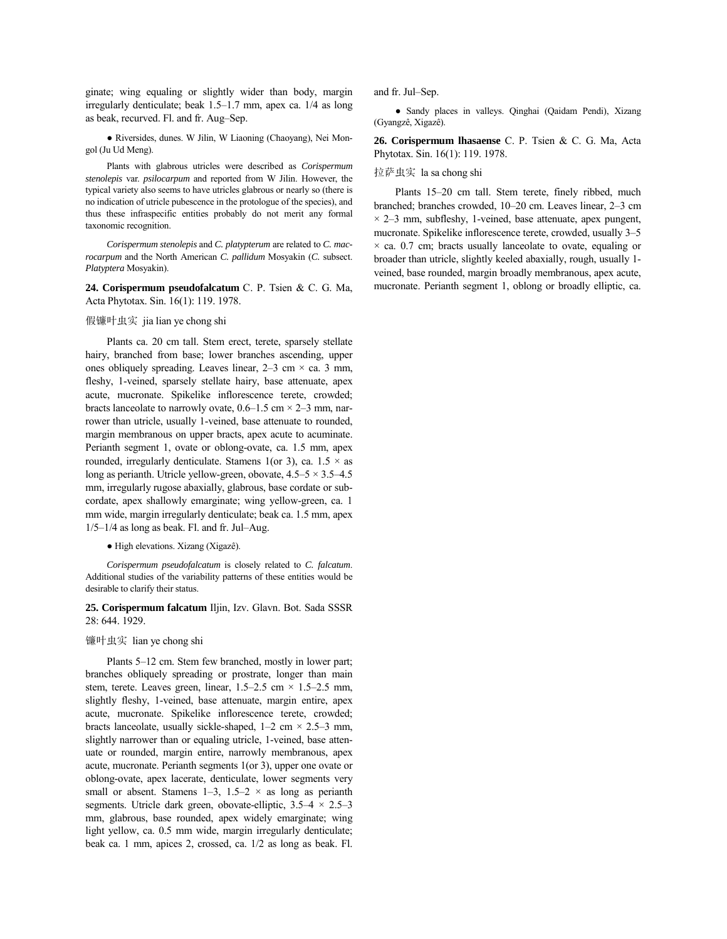ginate; wing equaling or slightly wider than body, margin irregularly denticulate; beak 1.5-1.7 mm, apex ca. 1/4 as long as beak, recurved. Fl. and fr. Aug-Sep.

● Riversides, dunes. W Jilin, W Liaoning (Chaoyang), Nei Mongol (Ju Ud Meng).

Plants with glabrous utricles were described as *Corispermum stenolepis* var. *psilocarpum* and reported from W Jilin. However, the typical variety also seems to have utricles glabrous or nearly so (there is no indication of utricle pubescence in the protologue of the species), and thus these infraspecific entities probably do not merit any formal taxonomic recognition.

*Corispermum stenolepis* and *C. platypterum* are related to *C. macrocarpum* and the North American *C. pallidum* Mosyakin (*C.* subsect. *Platyptera* Mosyakin).

**24. Corispermum pseudofalcatum** C. P. Tsien & C. G. Ma, Acta Phytotax. Sin. 16(1): 119. 1978.

## 假镰叶虫实 jia lian ye chong shi

Plants ca. 20 cm tall. Stem erect, terete, sparsely stellate hairy, branched from base; lower branches ascending, upper ones obliquely spreading. Leaves linear,  $2-3$  cm  $\times$  ca. 3 mm, fleshy, 1-veined, sparsely stellate hairy, base attenuate, apex acute, mucronate. Spikelike inflorescence terete, crowded; bracts lanceolate to narrowly ovate,  $0.6-1.5$  cm  $\times$  2-3 mm, narrower than utricle, usually 1-veined, base attenuate to rounded, margin membranous on upper bracts, apex acute to acuminate. Perianth segment 1, ovate or oblong-ovate, ca. 1.5 mm, apex rounded, irregularly denticulate. Stamens 1(or 3), ca.  $1.5 \times$  as long as perianth. Utricle yellow-green, obovate,  $4.5-5 \times 3.5-4.5$ mm, irregularly rugose abaxially, glabrous, base cordate or subcordate, apex shallowly emarginate; wing yellow-green, ca. 1 mm wide, margin irregularly denticulate; beak ca. 1.5 mm, apex  $1/5-1/4$  as long as beak. Fl. and fr. Jul–Aug.

## ● High elevations. Xizang (XigazÍ).

*Corispermum pseudofalcatum* is closely related to *C. falcatum*. Additional studies of the variability patterns of these entities would be desirable to clarify their status.

## **25. Corispermum falcatum** Iljin, Izv. Glavn. Bot. Sada SSSR 28: 644. 1929.

#### 镰叶虫实 lian ye chong shi

Plants 5–12 cm. Stem few branched, mostly in lower part; branches obliquely spreading or prostrate, longer than main stem, terete. Leaves green, linear,  $1.5-2.5$  cm  $\times$  1.5-2.5 mm, slightly fleshy, 1-veined, base attenuate, margin entire, apex acute, mucronate. Spikelike inflorescence terete, crowded; bracts lanceolate, usually sickle-shaped,  $1-2$  cm  $\times$  2.5–3 mm, slightly narrower than or equaling utricle, 1-veined, base attenuate or rounded, margin entire, narrowly membranous, apex acute, mucronate. Perianth segments 1(or 3), upper one ovate or oblong-ovate, apex lacerate, denticulate, lower segments very small or absent. Stamens 1–3, 1.5–2  $\times$  as long as perianth segments. Utricle dark green, obovate-elliptic,  $3.5-4 \times 2.5-3$ mm, glabrous, base rounded, apex widely emarginate; wing light yellow, ca. 0.5 mm wide, margin irregularly denticulate; beak ca. 1 mm, apices 2, crossed, ca. 1/2 as long as beak. Fl.

and fr. Jul-Sep.

● Sandy places in valleys. Qinghai (Qaidam Pendi), Xizang (Gyangzê, Xigazê).

**26. Corispermum lhasaense** C. P. Tsien & C. G. Ma, Acta Phytotax. Sin. 16(1): 119. 1978.

## 拉萨虫实 la sa chong shi

Plants 15–20 cm tall. Stem terete, finely ribbed, much branched; branches crowded, 10–20 cm. Leaves linear, 2–3 cm  $\times$  2–3 mm, subfleshy, 1-veined, base attenuate, apex pungent, mucronate. Spikelike inflorescence terete, crowded, usually 3-5  $\times$  ca. 0.7 cm; bracts usually lanceolate to ovate, equaling or broader than utricle, slightly keeled abaxially, rough, usually 1 veined, base rounded, margin broadly membranous, apex acute, mucronate. Perianth segment 1, oblong or broadly elliptic, ca.